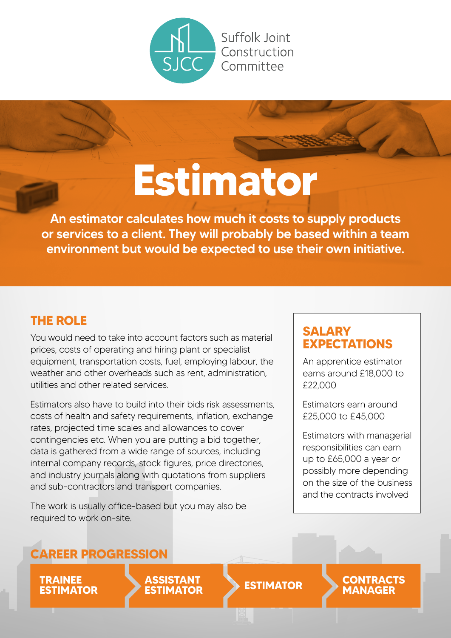

# **Estimator**

An estimator calculates how much it costs to supply products or services to a client. They will probably be based within a team environment but would be expected to use their own initiative.

### **THE ROLE**

You would need to take into account factors such as material prices, costs of operating and hiring plant or specialist equipment, transportation costs, fuel, employing labour, the weather and other overheads such as rent, administration utilities and other related services.

Estimators also have to build into their bids risk assessments, costs of health and safety requirements, inflation, exchange rates, projected time scales and allowances to cover contingencies etc. When you are putting a bid together, data is gathered from a wide range of sources, including internal company records, stock figures, price directories, and industry journals along with quotations from suppliers and sub-contractors and transport companies.

The work is usually office-based but you may also be required to work on-site.

### **SALARY EXPECTATIONS**

An apprentice estimator earns around £18,000 to £22,000

Estimators earn around £25,000 to £45,000

Estimators with managerial responsibilities can earn up to £65,000 a year or possibly more depending on the size of the business and the contracts involved

### **CAREER PROGRESSION**

**TRAINEE ESTIMATOR**

**ASSISTANT ESTIMATOR ESTIMATOR CONTRACTS CONTRAC**